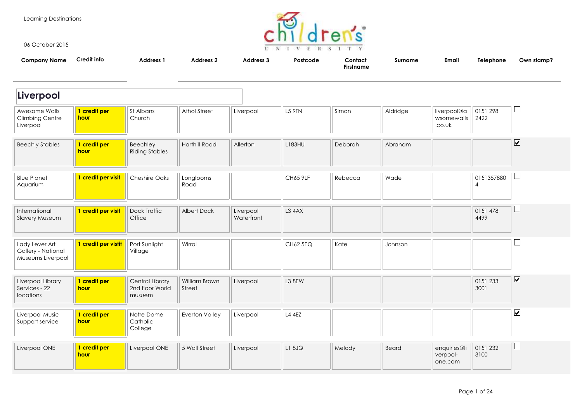Learning Destinations



06 October 2015

| <b>Company Name</b>                                       | Credit info          | <b>Address 1</b>                             | <b>Address 2</b>        | Address 3               | Postcode        | Contact<br><b>Firstname</b> | <b>Surname</b> | Email                               | Telephone                    | Own stamp?                   |
|-----------------------------------------------------------|----------------------|----------------------------------------------|-------------------------|-------------------------|-----------------|-----------------------------|----------------|-------------------------------------|------------------------------|------------------------------|
| Liverpool                                                 |                      |                                              |                         |                         |                 |                             |                |                                     |                              |                              |
| Awesome Walls<br><b>Climbing Centre</b><br>Liverpool      | 1 credit per<br>hour | St Albans<br>Church                          | Athol Street            | Liverpool               | L5 9TN          | Simon                       | Aldridge       | liverpool@a<br>wsomewalls<br>.co.uk | 0151 298<br>2422             | $\sqcup$                     |
| <b>Beechly Stables</b>                                    | 1 credit per<br>hour | Beechley<br><b>Riding Stables</b>            | Harthill Road           | Allerton                | L183HU          | Deborah                     | Abraham        |                                     |                              | $\boxed{\blacktriangledown}$ |
| <b>Blue Planet</b><br>Aquarium                            | 1 credit per visit   | <b>Cheshire Oaks</b>                         | Longlooms<br>Road       |                         | <b>CH65 9LF</b> | Rebecca                     | Wade           |                                     | 0151357880<br>$\overline{4}$ | ⊔                            |
| International<br>Slavery Museum                           | 1 credit per visit   | Dock Traffic<br>Office                       | Albert Dock             | Liverpool<br>Waterfront | L3 4AX          |                             |                |                                     | 0151 478<br>4499             | $\Box$                       |
| Lady Lever Art<br>Gallery - National<br>Museums Liverpool | 1 credit per vistit  | Port Sunlight<br>Village                     | Wirral                  |                         | CH62 5EQ        | Kate                        | Johnson        |                                     |                              |                              |
| Liverpool Library<br>Services - 22<br>locations           | 1 credit per<br>hour | Central Library<br>2nd floor World<br>musuem | William Brown<br>Street | Liverpool               | L3 8EW          |                             |                |                                     | 0151 233<br>3001             | $\overline{\mathbf{v}}$      |
| Liverpool Music<br>Support service                        | 1 credit per<br>hour | Notre Dame<br>Catholic<br>College            | Everton Valley          | Liverpool               | L4 4EZ          |                             |                |                                     |                              | $\overline{\mathbf{v}}$      |
| Liverpool ONE                                             | 1 credit per<br>hour | Liverpool ONE                                | 5 Wall Street           | Liverpool               | L1 8JQ          | Melody                      | Beard          | enquiries@li<br>verpool-<br>one.com | 0151 232<br>3100             | $\Box$                       |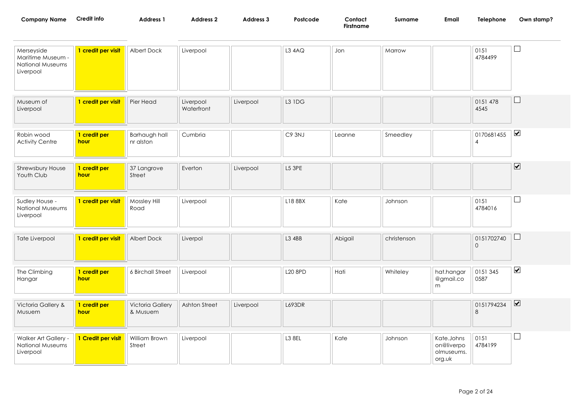| <b>Company Name</b>                                              | <b>Credit info</b>   | Address 1                           | <b>Address 2</b>        | Address 3 | Postcode       | Contact<br><b>Firstname</b> | Surname     | Email                                            | Telephone                    | Own stamp?                   |
|------------------------------------------------------------------|----------------------|-------------------------------------|-------------------------|-----------|----------------|-----------------------------|-------------|--------------------------------------------------|------------------------------|------------------------------|
| Merseyside<br>Maritime Museum -<br>National Museums<br>Liverpool | 1 credit per visit   | Albert Dock                         | Liverpool               |           | L34AQ          | Jon                         | Marrow      |                                                  | 0151<br>4784499              | $\Box$                       |
| Museum of<br>Liverpool                                           | 1 credit per visit   | Pier Head                           | Liverpool<br>Waterfront | Liverpool | <b>L3 1DG</b>  |                             |             |                                                  | 0151 478<br>4545             | $\sqcup$                     |
| Robin wood<br><b>Activity Centre</b>                             | 1 credit per<br>hour | Barhaugh hall<br>nr alston          | Cumbria                 |           | C9 3NJ         | Leanne                      | Smeedley    |                                                  | 0170681455<br>$\overline{4}$ | $\blacktriangledown$         |
| Shrewsbury House<br>Youth Club                                   | 1 credit per<br>hour | 37 Langrove<br>Street               | Everton                 | Liverpool | L5 3PE         |                             |             |                                                  |                              | $\overline{\mathbf{v}}$      |
| Sudley House -<br><b>National Museums</b><br>Liverpool           | 1 credit per visit   | Mossley Hill<br>Road                | Liverpool               |           | L18 8BX        | Kate                        | Johnson     |                                                  | 0151<br>4784016              | $\Box$                       |
| Tate Liverpool                                                   | 1 credit per visit   | Albert Dock                         | Liverpol                |           | L3 4BB         | Abigail                     | christenson |                                                  | 0151702740<br>$\Omega$       | ⊔                            |
| The Climbing<br>Hangar                                           | 1 credit per<br>hour | 6 Birchall Street                   | Liverpool               |           | <b>L20 8PD</b> | Hati                        | Whiteley    | hat.hangar<br>@gmail.co<br>m                     | 0151 345<br>0587             | $\blacktriangledown$         |
| Victoria Gallery &<br>Musuem                                     | 1 credit per<br>hour | <b>Victoria Gallery</b><br>& Musuem | Ashton Street           | Liverpool | L693DR         |                             |             |                                                  | 0151794234<br>8              | $\boxed{\blacktriangledown}$ |
| Walker Art Gallery -<br>National Museums<br>Liverpool            | 1 Credit per visit   | William Brown<br>Street             | Liverpool               |           | <b>L3 8EL</b>  | Kate                        | Johnson     | Kate.Johns<br>on@liverpo<br>olmuseums.<br>org.uk | 0151<br>4784199              | $\sqcup$                     |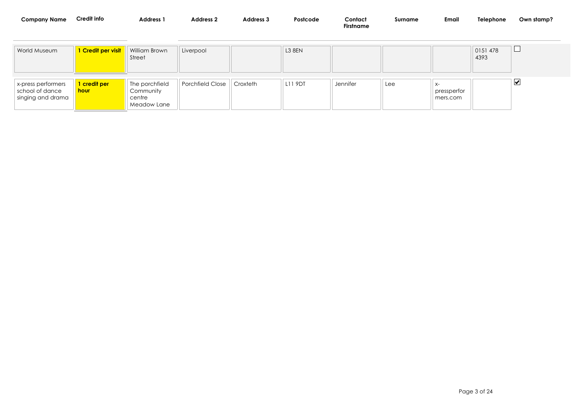| <b>Company Name</b>                                        | Credit info               | <b>Address 1</b>                                     | <b>Address 2</b> | Address 3 | Postcode      | Contact<br>Firstname | Surname | <b>Email</b>                  | Telephone       | Own stamp?              |
|------------------------------------------------------------|---------------------------|------------------------------------------------------|------------------|-----------|---------------|----------------------|---------|-------------------------------|-----------------|-------------------------|
| World Museum                                               | <u>I Credit per visit</u> | William Brown<br>Street                              | Liverpool        |           | <b>L3 8EN</b> |                      |         |                               | 0151478<br>4393 | └                       |
| x-press performers<br>school of dance<br>singing and drama | 1 credit per<br>hour      | The porchfield<br>Community<br>centre<br>Meadow Lane | Porchfield Close | Croxteth  | L11 9DT       | Jennifer             | Lee     | X-<br>pressperfor<br>mers.com |                 | $\overline{\mathbf{v}}$ |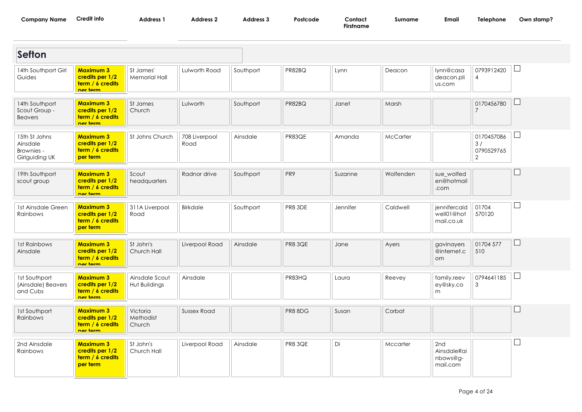| <b>Company Name</b> | <b>Credit info</b> | Address 1 | Address 2 | Address 3 | Postcode | Contact |
|---------------------|--------------------|-----------|-----------|-----------|----------|---------|
|---------------------|--------------------|-----------|-----------|-----------|----------|---------|

**Firstname**

| <b>Sefton</b>                                             |                                                                     |                                 |                       |           |                |                 |           |                                            |                                                  |                |
|-----------------------------------------------------------|---------------------------------------------------------------------|---------------------------------|-----------------------|-----------|----------------|-----------------|-----------|--------------------------------------------|--------------------------------------------------|----------------|
| 14th Southport Girl<br>Guides                             | <b>Maximum 3</b><br>credits per 1/2<br>term / 6 credits<br>nor torm | St James'<br>Memorial Hall      | Lulworth Road         | Southport | PR82BQ         | Lynn            | Deacon    | lynn@casa<br>deacon.pli<br>us.com          | 0793912420<br>$\overline{4}$                     | $\Box$         |
| 14th Southport<br>Scout Group -<br><b>Beavers</b>         | <b>Maximum 3</b><br>credits per 1/2<br>term / 6 credits<br>nor torm | St James<br>Church              | Lulworth              | Southport | PR82BQ         | Janet           | Marsh     |                                            | 0170456780<br>$\overline{7}$                     |                |
| 15th St Johns<br>Ainsdale<br>Brownies -<br>Girlguiding UK | <b>Maximum 3</b><br>credits per 1/2<br>term / 6 credits<br>per term | St Johns Church                 | 708 Liverpool<br>Road | Ainsdale  | PR83QE         | Amanda          | McCarter  |                                            | 0170457086<br>3/<br>0790529765<br>$\overline{2}$ | $\mathbb{R}^n$ |
| 19th Southport<br>scout group                             | <b>Maximum 3</b><br>credits per 1/2<br>term / 6 credits<br>nor torm | Scout<br>headquarters           | Radnor drive          | Southport | PR9            | Suzanne         | Wolfenden | sue_wolfed<br>en@hotmail<br>.com           |                                                  | L              |
| 1st Ainsdale Green<br>Rainbows                            | <b>Maximum 3</b><br>credits per 1/2<br>term / 6 credits<br>per term | 311A Liverpool<br>Road          | <b>Birkdale</b>       | Southport | PR8 3DE        | <b>Jennifer</b> | Caldwell  | jennifercald<br>well01@hot<br>mail.co.uk   | 01704<br>570120                                  | $\Box$         |
| 1st Rainbows<br>Ainsdale                                  | <b>Maximum 3</b><br>credits per 1/2<br>term / 6 credits<br>nor torm | St John's<br>Church Hall        | Liverpool Road        | Ainsdale  | PR8 3QE        | Jane            | Ayers     | gavinayers<br>@internet.c<br>om.           | 01704 577<br>510                                 | L              |
| <b>1st Southport</b><br>(Ainsdale) Beavers<br>and Cubs    | <b>Maximum 3</b><br>credits per 1/2<br>term / 6 credits<br>nar tarm | Ainsdale Scout<br>Hut Buildings | Ainsdale              |           | PR83HQ         | Laura           | Reevey    | family.reev<br>ey@sky.co<br>m              | 0794641185<br>3                                  | H              |
| <b>1st Southport</b><br>Rainbows                          | <b>Maximum 3</b><br>credits per 1/2<br>term / 6 credits<br>nor torm | Victoria<br>Methodist<br>Church | <b>Sussex Road</b>    |           | PR8 8DG        | Susan           | Corbat    |                                            |                                                  |                |
| 2nd Ainsdale<br>Rainbows                                  | <b>Maximum 3</b><br>credits per 1/2<br>term / 6 credits<br>per term | St John's<br>Church Hall        | Liverpool Road        | Ainsdale  | <b>PR8 3QE</b> | Di              | Mccarter  | 2nd<br>AinsdaleRai<br>nbows@g-<br>mail.com |                                                  | $\Box$         |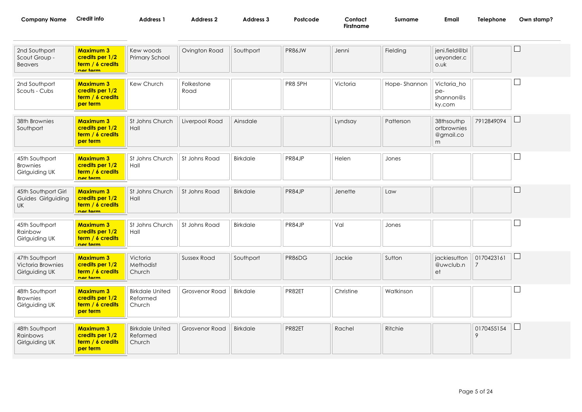| Company Name | redit<br>into | <b>Address</b> | Address : | ddress | Postcode | Contact   | Surname | Email | elephone | Own stamp? |
|--------------|---------------|----------------|-----------|--------|----------|-----------|---------|-------|----------|------------|
|              |               |                |           |        |          | Firstname |         |       |          |            |

| 2nd Southport<br>Scout Group -<br><b>Beavers</b>       | <b>Maximum 3</b><br>credits per 1/2<br>term / 6 credits<br>nor torm | Kew woods<br>Primary School                  | Ovington Road      | Southport       | PR86JW  | Jenni     | Fielding     | jeni.field@bl<br>ueyonder.c<br>o.uk         |                              |                          |
|--------------------------------------------------------|---------------------------------------------------------------------|----------------------------------------------|--------------------|-----------------|---------|-----------|--------------|---------------------------------------------|------------------------------|--------------------------|
| 2nd Southport<br>Scouts - Cubs                         | <b>Maximum 3</b><br>credits per 1/2<br>term / 6 credits<br>per term | Kew Church                                   | Folkestone<br>Road |                 | PR8 5PH | Victoria  | Hope-Shannon | Victoria_ho<br>pe-<br>shannon@s<br>ky.com   |                              |                          |
| 38th Brownies<br>Southport                             | <b>Maximum 3</b><br>credits per 1/2<br>term / 6 credits<br>per term | St Johns Church<br>Hall                      | Liverpool Road     | Ainsdale        |         | Lyndsay   | Patterson    | 38thsouthp<br>ortbrownies<br>@gmail.co<br>m | 7912849094                   | $\sqcup$                 |
| 45th Southport<br><b>Brownies</b><br>Girlguiding UK    | <b>Maximum 3</b><br>credits per 1/2<br>term / 6 credits<br>nor torm | St Johns Church<br>Hall                      | St Johns Road      | Birkdale        | PR84JP  | Helen     | Jones        |                                             |                              |                          |
| 45th Southport Girl<br>Guides Girlguiding<br><b>UK</b> | <b>Maximum 3</b><br>credits per 1/2<br>term / 6 credits<br>nar tarm | St Johns Church<br>Hall                      | St Johns Road      | <b>Birkdale</b> | PR84JP  | Jenette   | Law          |                                             |                              |                          |
| 45th Southport<br>Rainbow<br>Girlguiding UK            | <b>Maximum 3</b><br>credits per 1/2<br>term / 6 credits<br>nor torm | St Johns Church<br>Hall                      | St Johns Road      | Birkdale        | PR84JP  | Val       | Jones        |                                             |                              | $\overline{\phantom{a}}$ |
| 47th Southport<br>Victoria Brownies<br>Girlguiding UK  | <b>Maximum 3</b><br>credits per 1/2<br>term / 6 credits<br>ner term | Victoria<br>Methodist<br>Church              | <b>Sussex Road</b> | Southport       | PR86DG  | Jackie    | Sutton       | jackiesutton<br>@uwclub.n<br>et             | 0170423161<br>$\overline{7}$ | $\Box$                   |
| 48th Southport<br><b>Brownies</b><br>Girlguiding UK    | <b>Maximum 3</b><br>credits per 1/2<br>term / 6 credits<br>per term | <b>Birkdale United</b><br>Reformed<br>Church | Grosvenor Road     | Birkdale        | PR82ET  | Christine | Watkinson    |                                             |                              |                          |
| 48th Southport<br>Rainbows<br>Girlguiding UK           | <b>Maximum 3</b><br>credits per 1/2<br>term / 6 credits<br>per term | <b>Birkdale United</b><br>Reformed<br>Church | Grosvenor Road     | Birkdale        | PR82ET  | Rachel    | Ritchie      |                                             | 0170455154<br>9              | ⊔                        |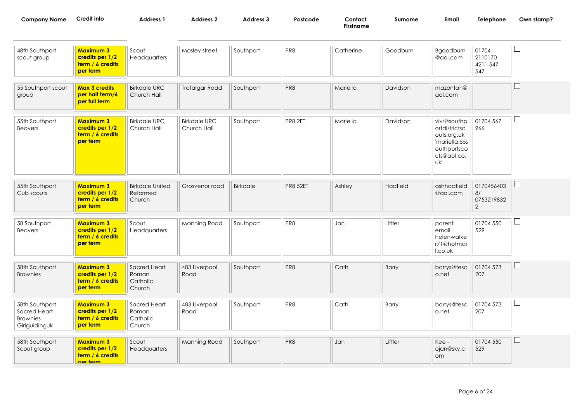| Company Name | Credit info | <b>Address</b> | <b>Address 2</b> | Address. | Postcode | Contact   | Surname | Email | <b>Telephone</b> | Own stamp? |
|--------------|-------------|----------------|------------------|----------|----------|-----------|---------|-------|------------------|------------|
|              |             |                |                  |          |          | Firstname |         |       |                  |            |

| 48th Southport<br>scout group                                      | <b>Maximum 3</b><br>credits per 1/2<br>term / 6 credits<br>per term | Scout<br>Headquarters                        | Mosley street                      | Southport | PR8             | Catherine | Goodburn | Bgoodburn<br>@aol.com                                                                             | 01704<br>2110170<br>4211 547<br>547 |              |
|--------------------------------------------------------------------|---------------------------------------------------------------------|----------------------------------------------|------------------------------------|-----------|-----------------|-----------|----------|---------------------------------------------------------------------------------------------------|-------------------------------------|--------------|
| 55 Southport scout<br>group                                        | <b>Max 3 credits</b><br>per half term/6<br>per full term            | <b>Birkdale URC</b><br>Church Hall           | <b>Trafalgar Road</b>              | Southport | PR8             | Mariella  | Davidson | mazontan@<br>aol.com                                                                              |                                     |              |
| 55th Southport<br><b>Beavers</b>                                   | <b>Maximum 3</b><br>credits per 1/2<br>term / 6 credits<br>per term | <b>Birkdale URC</b><br>Church Hall           | <b>Birkdale URC</b><br>Church Hall | Southport | PR8 2ET         | Mariella  | Davidson | vivr@southp<br>ortdistrictsc<br>outs.org.uk<br>'mariella.55s<br>outhportsco<br>uts@aol.co.<br>uk' | 01704 567<br>966                    |              |
| 55th Southport<br>Cub scouts                                       | <b>Maximum 3</b><br>credits per 1/2<br>term / 6 credits<br>per term | <b>Birkdale United</b><br>Reformed<br>Church | Grosvenor road                     | Birkdale  | <b>PR8 52ET</b> | Ashley    | Hadfield | ashhadfield<br>@aol.com                                                                           | 0170456403<br>8/<br>0753219832<br>2 |              |
| 58 Southport<br>Beavers                                            | <b>Maximum 3</b><br>credits per 1/2<br>term / 6 credits<br>per term | Scout<br>Headquarters                        | Manning Road                       | Southport | PR8             | Jan       | Littler  | parent<br>email<br>helenwalke<br>r71@hotmai<br>I.co.uk                                            | 01704 550<br>529                    | $\mathsf{L}$ |
| 58th Southport<br><b>Brownies</b>                                  | <b>Maximum 3</b><br>credits per 1/2<br>term / 6 credits<br>per term | Sacred Heart<br>Roman<br>Catholic<br>Church  | 483 Liverpool<br>Road              | Southport | PR8             | Cath      | Barry    | barrys@tesc<br>o.net                                                                              | 01704 573<br>207                    |              |
| 58th Southport<br>Sacred Heart<br><b>Brownies</b><br>Girlguidinguk | <b>Maximum 3</b><br>credits per 1/2<br>term / 6 credits<br>per term | Sacred Heart<br>Roman<br>Catholic<br>Church  | 483 Liverpool<br>Road              | Southport | PR8             | Cath      | Barry    | barrys@tesc<br>o.net                                                                              | 01704 573<br>207                    |              |
| 58th Southport<br>Scout group                                      | <b>Maximum 3</b><br>credits per 1/2<br>term / 6 credits<br>nor torm | Scout<br>Headquarters                        | Manning Road                       | Southport | PR8             | Jan       | Littler  | Kee-<br>ojan@sky.c<br>om                                                                          | 01704 550<br>529                    |              |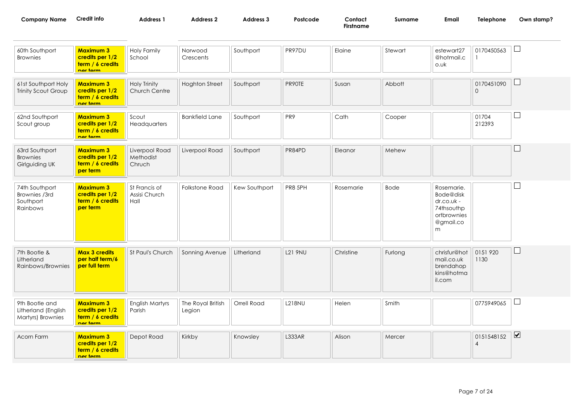| $\sim$ $\sim$ $\sim$ $\sim$ $\sim$ $\sim$<br>Company Name | Credit info | Address <sup>2</sup> | <b>Address 2</b> | Address ? | Postcode | Contact   | Surname | Email | Telephone<br>and the contract of the contract of the contract of the contract of the contract of the contract of the contract of the contract of the contract of the contract of the contract of the contract of the contract of the contra | Jwn stamp? |
|-----------------------------------------------------------|-------------|----------------------|------------------|-----------|----------|-----------|---------|-------|---------------------------------------------------------------------------------------------------------------------------------------------------------------------------------------------------------------------------------------------|------------|
|                                                           |             |                      |                  |           |          | Firstname |         |       |                                                                                                                                                                                                                                             |            |
|                                                           |             |                      |                  |           |          |           |         |       |                                                                                                                                                                                                                                             |            |

| 60th Southport<br><b>Brownies</b>                          | <b>Maximum 3</b><br>credits per 1/2<br>term / 6 credits<br>nor torm | <b>Holy Family</b><br>School           | Norwood<br>Crescents        | Southport     | PR97DU          | Elaine    | Stewart     | estewart27<br>@hotmail.c<br>o.uk                                                     | 0170450563                   | $\overline{\phantom{a}}$     |
|------------------------------------------------------------|---------------------------------------------------------------------|----------------------------------------|-----------------------------|---------------|-----------------|-----------|-------------|--------------------------------------------------------------------------------------|------------------------------|------------------------------|
| 61st Southport Holy<br>Trinity Scout Group                 | <b>Maximum 3</b><br>credits per 1/2<br>term / 6 credits<br>nor torm | <b>Holy Trinity</b><br>Church Centre   | <b>Hoghton Street</b>       | Southport     | PR90TE          | Susan     | Abbott      |                                                                                      | 0170451090<br>$\overline{0}$ | $\Box$                       |
| 62nd Southport<br>Scout group                              | <b>Maximum 3</b><br>credits per 1/2<br>term / 6 credits<br>nor torm | Scout<br>Headquarters                  | <b>Bankfield Lane</b>       | Southport     | PR <sub>9</sub> | Cath      | Cooper      |                                                                                      | 01704<br>212393              | $\Box$                       |
| 63rd Southport<br><b>Brownies</b><br>Girlguiding UK        | <b>Maximum 3</b><br>credits per 1/2<br>term / 6 credits<br>per term | Liverpool Road<br>Methodist<br>Chruch  | Liverpool Road              | Southport     | PR84PD          | Eleanor   | Mehew       |                                                                                      |                              | Г                            |
| 74th Southport<br>Brownies /3rd<br>Southport<br>Rainbows   | <b>Maximum 3</b><br>credits per 1/2<br>term / 6 credits<br>per term | St Francis of<br>Assisi Church<br>Hall | <b>Folkstone Road</b>       | Kew Southport | PR8 5PH         | Rosemarie | <b>Bode</b> | Rosemarie.<br>Bode@disk<br>dr.co.uk -<br>74thsouthp<br>ortbrownies<br>@gmail.co<br>m |                              | $\Box$                       |
| 7th Bootle &<br>Litherland<br>Rainbows/Brownies            | <b>Max 3 credits</b><br>per half term/6<br>per full term            | St Paul's Church                       | Sonning Avenue              | Litherland    | <b>L21 9NU</b>  | Christine | Furlong     | chrisfur@hot<br>mail.co.uk<br>brendahop<br>kins@hotma<br>il.com                      | 0151920<br>1130              | $\Box$                       |
| 9th Bootle and<br>Litherland (English<br>Martyrs) Brownies | <b>Maximum 3</b><br>credits per 1/2<br>term / 6 credits<br>nor torm | English Martyrs<br>Parish              | The Royal British<br>Legion | Orrell Road   | <b>L218NU</b>   | Helen     | Smith       |                                                                                      | 0775949065                   | $\sqcup$                     |
| Acorn Farm                                                 | <b>Maximum 3</b><br>credits per 1/2<br>term / 6 credits<br>nor torm | Depot Road                             | Kirkby                      | Knowsley      | <b>L333AR</b>   | Alison    | Mercer      |                                                                                      | 0151548152<br>$\overline{4}$ | $\boxed{\blacktriangledown}$ |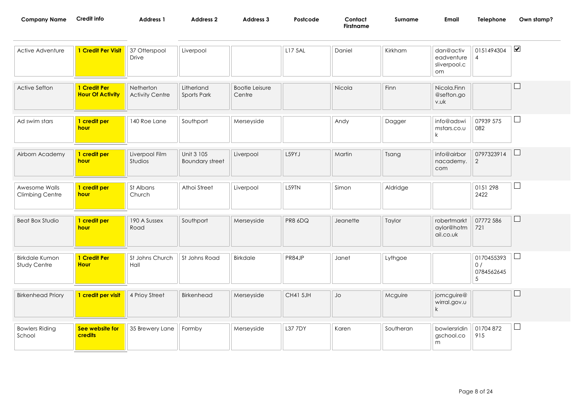| Company Name | Credit info | <b>Address</b> | Address | <b>\ddress</b> | Postcode | Contact   | Surname | Email | <b>Telephone</b> | Own stamp? |
|--------------|-------------|----------------|---------|----------------|----------|-----------|---------|-------|------------------|------------|
|              |             |                |         |                |          | Firstname |         |       |                  |            |

| Active Adventure                      | 1 Credit Per Visit                      | 37 Otterspool<br>Drive              | Liverpool                            |                                 | L17 5AL         | Daniel   | Kirkham   | dan@activ<br>eadventure<br>sliverpool.c<br>om | 0151494304<br>$\overline{4}$        | $\blacktriangledown$     |
|---------------------------------------|-----------------------------------------|-------------------------------------|--------------------------------------|---------------------------------|-----------------|----------|-----------|-----------------------------------------------|-------------------------------------|--------------------------|
| Active Sefton                         | 1 Credit Per<br><b>Hour Of Activity</b> | Netherton<br><b>Activity Centre</b> | Litherland<br>Sports Park            | <b>Bootle Leisure</b><br>Centre |                 | Nicola   | Finn      | Nicola.Finn<br>@sefton.go<br>v.uk             |                                     | $\overline{\phantom{a}}$ |
| Ad swim stars                         | 1 credit per<br>hour                    | 140 Roe Lane                        | Southport                            | Merseyside                      |                 | Andy     | Dagger    | info@adswi<br>mstars.co.u<br>k                | 07939 575<br>082                    | ப                        |
| Airborn Academy                       | 1 credit per<br>hour                    | Liverpool Film<br>Studios           | Unit 3 105<br><b>Boundary street</b> | Liverpool                       | L59YJ           | Martin   | Tsang     | info@airbor<br>nacademy.<br>com               | 0797323914<br>2                     | ⊔                        |
| Awesome Walls<br>Climbing Centre      | 1 credit per<br>hour                    | St Albans<br>Church                 | Athoi Street                         | Liverpool                       | L59TN           | Simon    | Aldridge  |                                               | 0151 298<br>2422                    | ⊔                        |
| <b>Beat Box Studio</b>                | 1 credit per<br>hour                    | 190 A Sussex<br>Road                | Southport                            | Merseyside                      | PR8 6DQ         | Jeanette | Taylor    | robertmarkt<br>aylor@hotm<br>ail.co.uk        | 07772 586<br>721                    | $\sqcup$                 |
| <b>Birkdale Kumon</b><br>Study Centre | 1 Credit Per<br><b>Hour</b>             | St Johns Church<br>Hall             | St Johns Road                        | Birkdale                        | PR84JP          | Janet    | Lythgoe   |                                               | 0170455393<br>0/<br>0784562645<br>5 | ப                        |
| <b>Birkenhead Priory</b>              | 1 credit per visit                      | 4 Prioy Street                      | Birkenhead                           | Merseyside                      | <b>CH41 5JH</b> | Jo       | Mcguire   | jomcguire@<br>wirral.gov.u<br>k               |                                     | L                        |
| <b>Bowlers Riding</b><br>School       | See website for<br>credits              | 35 Brewery Lane                     | Formby                               | Merseyside                      | L37 7DY         | Karen    | Southeran | bowlersridin<br>gschool.co<br>m               | 01704872<br>915                     | ⊔                        |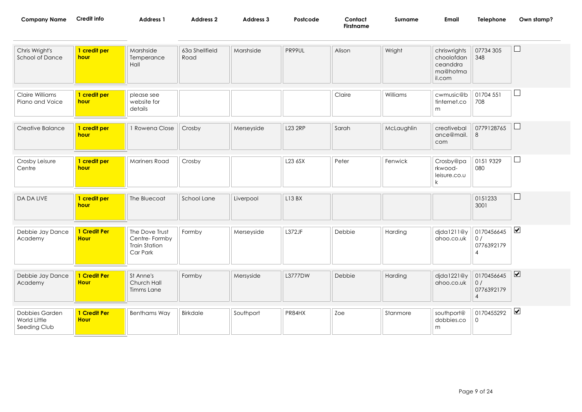| Company Name | Credit info | <b>Address</b> | <b>Address 2</b> | Address 3 | Postcode | Contact<br>Firstname | Surname | Emai | felephone<br>and the contract of the contract of the contract of the contract of the contract of the contract of the contract of | Own stamp? |
|--------------|-------------|----------------|------------------|-----------|----------|----------------------|---------|------|----------------------------------------------------------------------------------------------------------------------------------|------------|
|              |             |                |                  |           |          |                      |         |      |                                                                                                                                  |            |

| Chris Wright's<br><b>School of Dance</b>       | 1 credit per<br>hour        | Marshside<br>Temperance<br>Hall                                     | 63a Shellfield<br>Road | Marshside  | PR99UL         | Alison | Wright     | chriswrights<br>choolofdan<br>ceanddra<br>ma@hotma<br>il.com | 07734 305<br>348                    | $\Box$                  |
|------------------------------------------------|-----------------------------|---------------------------------------------------------------------|------------------------|------------|----------------|--------|------------|--------------------------------------------------------------|-------------------------------------|-------------------------|
| Claire Williams<br>Piano and Voice             | 1 credit per<br>hour        | please see<br>website for<br>details                                |                        |            |                | Claire | Williams   | cwmusic@b<br>tinternet.co<br>m                               | 01704 551<br>708                    | ⊔                       |
| Creative Balance                               | 1 credit per<br>hour        | 1 Rowena Close                                                      | Crosby                 | Merseyside | <b>L23 2RP</b> | Sarah  | McLaughlin | creativebal<br>ance@mail.<br>com                             | 0779128765<br>8                     | ப                       |
| Crosby Leisure<br>Centre                       | 1 credit per<br>hour        | <b>Mariners Road</b>                                                | Crosby                 |            | L23 6SX        | Peter  | Fenwick    | Crosby@pa<br>rkwood-<br>leisure.co.u<br>$\mathsf{k}$         | 0151 9329<br>080                    | $\Box$                  |
| DA DA LIVE                                     | 1 credit per<br>hour        | The Bluecoat                                                        | School Lane            | Liverpool  | L13BX          |        |            |                                                              | 0151233<br>3001                     | $\Box$                  |
| Debbie Jay Dance<br>Academy                    | 1 Credit Per<br><b>Hour</b> | The Dove Trust<br>Centre-Formby<br><b>Train Station</b><br>Car Park | Formby                 | Merseyside | L372JF         | Debbie | Harding    | djda1211@y<br>ahoo.co.uk                                     | 0170456645<br>0/<br>0776392179<br>4 | $\blacktriangledown$    |
| Debbie Jay Dance<br>Academy                    | 1 Credit Per<br><b>Hour</b> | St Anne's<br>Church Hall<br>Timms Lane                              | Formby                 | Mersyside  | L3777DW        | Debbie | Harding    | djda1221@y<br>ahoo.co.uk                                     | 0170456645<br>0/<br>0776392179<br>4 | $\overline{\mathbf{v}}$ |
| Dobbies Garden<br>World Little<br>Seeding Club | 1 Credit Per<br><b>Hour</b> | <b>Benthams Way</b>                                                 | Birkdale               | Southport  | PR84HX         | Zoe    | Stanmore   | southport@<br>dobbies.co<br>m                                | 0170455292<br>$\mathbf 0$           | $\blacktriangledown$    |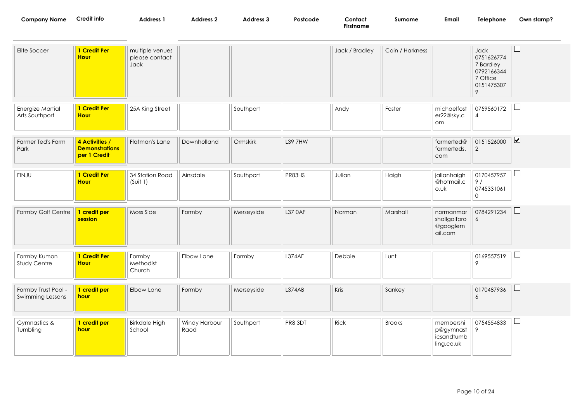| <b>Company Name</b>                     | Credit info                                             | <b>Address 1</b>                          | <b>Address 2</b>      | Address 3  | Postcode | Contact<br><b>Firstname</b> | Surname         | Email                                              | Telephone                                                                    | Own stamp?              |
|-----------------------------------------|---------------------------------------------------------|-------------------------------------------|-----------------------|------------|----------|-----------------------------|-----------------|----------------------------------------------------|------------------------------------------------------------------------------|-------------------------|
| Elite Soccer                            | 1 Credit Per<br><b>Hour</b>                             | multiple venues<br>please contact<br>Jack |                       |            |          | Jack / Bradley              | Cain / Harkness |                                                    | Jack<br>0751626774<br>7 Bardley<br>0792166344<br>7 Office<br>0151475307<br>9 |                         |
| Energize Martial<br>Arts Southport      | 1 Credit Per<br><b>Hour</b>                             | 25A King Street                           |                       | Southport  |          | Andy                        | Foster          | michaelfost<br>er22@sky.c<br>om                    | 0759560172<br>$\overline{4}$                                                 |                         |
| Farmer Ted's Farm<br>Park               | 4 Activities /<br><b>Demonstrations</b><br>per 1 Credit | Flatman's Lane                            | Downholland           | Ormskirk   | L39 7HW  |                             |                 | farmerted@<br>farmerteds.<br>com                   | 0151526000<br>$\overline{2}$                                                 | $\overline{\mathbf{v}}$ |
| <b>FINJU</b>                            | 1 Credit Per<br><b>Hour</b>                             | 34 Station Road<br>(Suit 1)               | Ainsdale              | Southport  | PR83HS   | Julian                      | Haigh           | jalianhaigh<br>@hotmail.c<br>o.uk                  | 0170457957<br>9/<br>0745331061<br>$\mathsf{O}$                               | $\Box$                  |
| Formby Golf Centre                      | 1 credit per<br>session                                 | Moss Side                                 | Formby                | Merseyside | L37 0AF  | Norman                      | Marshall        | normanmar<br>shallgolfpro<br>@googlem<br>ail.com   | 0784291234<br>6                                                              | Ш                       |
| Formby Kumon<br>Study Centre            | 1 Credit Per<br><b>Hour</b>                             | Formby<br>Methodist<br>Church             | Elbow Lane            | Formby     | L374AF   | Debbie                      | Lunt            |                                                    | 0169557519<br>9                                                              | ⊔                       |
| Formby Trust Pool -<br>Swimming Lessons | 1 credit per<br>hour                                    | Elbow Lane                                | Formby                | Merseyside | L374AB   | Kris                        | Sankey          |                                                    | 0170487936<br>6                                                              | $\Box$                  |
| Gymnastics &<br>Tumbling                | 1 credit per<br>hour                                    | <b>Birkdale High</b><br>School            | Windy Harbour<br>Raod | Southport  | PR8 3DT  | Rick                        | <b>Brooks</b>   | membershi<br>p@gymnast<br>icsandtumb<br>ling.co.uk | 0754554833<br>9                                                              | $\Box$                  |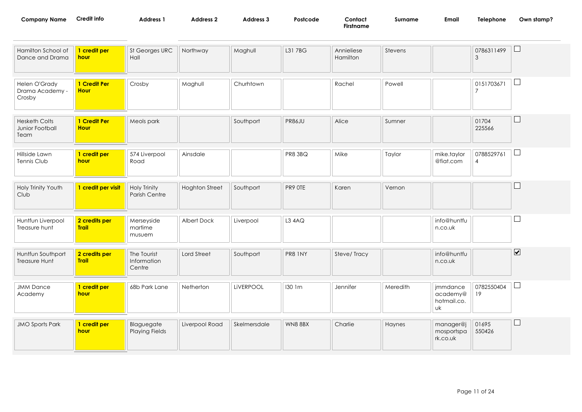| <b>Company Name</b>                             | <b>Credit info</b>            | <b>Address 1</b>                            | <b>Address 2</b>      | Address 3        | Postcode      | Contact<br><b>Firstname</b> | Surname  | Email                    | Telephone                    | Own stamp?              |
|-------------------------------------------------|-------------------------------|---------------------------------------------|-----------------------|------------------|---------------|-----------------------------|----------|--------------------------|------------------------------|-------------------------|
| Hamilton School of<br>Dance and Drama           | 1 credit per<br>hour          | St Georges URC<br>Hall                      | Northway              | Maghull          | L31 7BG       | Annieliese<br>Hamilton      | Stevens  |                          | 0786311499<br>$\mathfrak{Z}$ | $\sqcup$                |
| Helen O'Grady<br>Drama Academy -<br>Crosby      | 1 Credit Per<br><b>Hour</b>   | Crosby                                      | Maghull               | Churhtown        |               | Rachel                      | Powell   |                          | 0151703671<br>$\overline{7}$ | ∟                       |
| <b>Hesketh Colts</b><br>Junior Football<br>Team | 1 Credit Per<br><b>Hour</b>   | Meols park                                  |                       | Southport        | <b>PR86JU</b> | Alice                       | Sumner   |                          | 01704<br>225566              | $\Box$                  |
| Hillside Lawn<br>Tennis Club                    | 1 credit per<br>hour          | 574 Liverpool<br>Road                       | Ainsdale              |                  | PR8 3BQ       | Mike                        | Taylor   | mike.taylor<br>@fiat.com | 0788529761<br>$\overline{4}$ | ∟                       |
| Holy Trinity Youth<br>Club                      | 1 credit per visit            | <b>Holy Trinity</b><br><b>Parish Centre</b> | <b>Hoghton Street</b> | Southport        | PR9 OTE       | Karen                       | Vernon   |                          |                              |                         |
| Huntfun Liverpool<br>Treasure hunt              | 2 credits per<br><b>Trail</b> | Merseyside<br>martime<br>musuem             | Albert Dock           | Liverpool        | L3 4AQ        |                             |          | info@huntfu<br>n.co.uk   |                              |                         |
| Huntfun Southport<br>Treasure Hunt              | 2 credits per<br><b>Trail</b> | The Tourist<br>Information<br>Centre        | Lord Street           | Southport        | PR8 INY       | Steve/Tracy                 |          | info@huntfu<br>n.co.uk   |                              | $\overline{\mathbf{v}}$ |
| <b>JMM Dance</b><br>Academy                     | 1 credit per<br>hour          | 68b Park Lane                               | Netherton             | <b>LiVERPOOL</b> | 130 1m        | Jennifer                    | Meredith | jmmdance<br>academy@     | 0782550404<br>19             | $\sqcup$                |

| <b>JMO Sports Park</b> | I credit per<br><u>hour</u> | Blaguegate<br><b>Playing Fields</b> | Liverpool Road | Skelmersdale | <b>WN8 8BX</b> | Charlie | Haynes | manager@j<br>mosportspa<br>rk.co.uk | 01695<br>550426 | — |
|------------------------|-----------------------------|-------------------------------------|----------------|--------------|----------------|---------|--------|-------------------------------------|-----------------|---|
|------------------------|-----------------------------|-------------------------------------|----------------|--------------|----------------|---------|--------|-------------------------------------|-----------------|---|

hotmail.co.

uk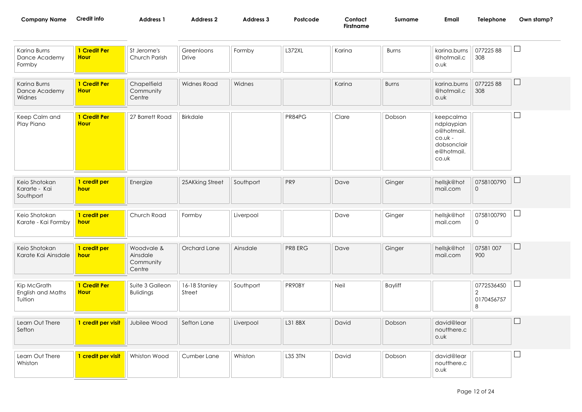| <b>Company Name</b>                     | Credit info                 | <b>Address 1</b>                   | <b>Address 2</b>    | Address 3 | Postcode      | Contact<br><b>Firstname</b> | Surname      | Email                                                                                     | Telephone       | Own stamp? |
|-----------------------------------------|-----------------------------|------------------------------------|---------------------|-----------|---------------|-----------------------------|--------------|-------------------------------------------------------------------------------------------|-----------------|------------|
| Karina Burns<br>Dance Academy<br>Formby | 1 Credit Per<br><b>Hour</b> | St Jerome's<br>Church Parish       | Greenloons<br>Drive | Formby    | <b>L372XL</b> | Karina                      | <b>Burns</b> | karina.burns<br>@hotmail.c<br>o.uk                                                        | 07722588<br>308 |            |
| Karina Burns<br>Dance Academy<br>Widnes | 1 Credit Per<br><b>Hour</b> | Chapelfield<br>Community<br>Centre | Widnes Road         | Widnes    |               | Karina                      | <b>Burns</b> | karina.burns<br>@hotmail.c<br>o.uk                                                        | 07722588<br>308 |            |
| Keep Calm and<br>Play Piano             | 1 Credit Per<br><b>Hour</b> | 27 Barrett Road                    | Birkdale            |           | PR84PG        | Clare                       | Dobson       | keepcalma<br>ndplaypian<br>o@hotmail.<br>$co.$ uk -<br>dobsonclair<br>e@hotmail.<br>co.uk |                 |            |
| Kein Shotokan                           | 1 credit per                | Energize                           | 25 AK king Street   | Southport | PR9           | Dave                        | Ginger       | hellsik@hot                                                                               | 0758100790      |            |

| Keio Shotokan | credit per | Energize | 25AKking Street | Southport | PR <sub>9</sub> | Dave | Ginger | hellsik@hot | 0758100790 |  |
|---------------|------------|----------|-----------------|-----------|-----------------|------|--------|-------------|------------|--|
| Kararte - Kai | hour       |          |                 |           |                 |      |        | mail.com    |            |  |
| Southport     |            |          |                 |           |                 |      |        |             |            |  |
|               |            |          |                 |           |                 |      |        |             |            |  |

| Keio Shotokan       | <b>credit per</b> | Church Road | Formby | Liverpool | Dave | Ginger | hellsjk@hot | 0758100790 |  |
|---------------------|-------------------|-------------|--------|-----------|------|--------|-------------|------------|--|
| Karate - Kai Formby | <b>hour</b>       |             |        |           |      |        | mail.com    |            |  |
|                     |                   |             |        |           |      |        |             |            |  |

| Keio Shotokan<br>Karate Kai Ainsdale I | I credit per<br>hour | Woodvale &<br>Ainsdale | Orchard Lane | Ainsdale | PR8 ERG | Dave | Ginger | hellsik@hot<br>mail.com | 07581 007<br>900 |  |
|----------------------------------------|----------------------|------------------------|--------------|----------|---------|------|--------|-------------------------|------------------|--|
|                                        |                      | Community<br>Centre    |              |          |         |      |        |                         |                  |  |

| Kip McGrath              | <b>Credit Per</b> | Suite 3 Galleon  | 16-18 Stanley | Southport | PR90BY | Neil | <b>Bayliff</b> | 0772536450 |  |
|--------------------------|-------------------|------------------|---------------|-----------|--------|------|----------------|------------|--|
| <b>English and Maths</b> | <b>Hour</b>       | <b>Bulidings</b> | Street        |           |        |      |                |            |  |
| Tuition                  |                   |                  |               |           |        |      |                | 0170456757 |  |
|                          |                   |                  |               |           |        |      |                |            |  |

| Learn Out There<br>Sefton  | I credit per visit | Jubilee Wood | Sefton Lane | Liverpool | L31 8BX        | David | Dobson | david@lear<br>noutthere.c<br>o.uk |  |
|----------------------------|--------------------|--------------|-------------|-----------|----------------|-------|--------|-----------------------------------|--|
| Learn Out There<br>Whiston | 1 credit per visit | Whiston Wood | Cumber Lane | Whiston   | <b>L35 3TN</b> | David | Dobson | david@lear<br>noutthere.c<br>o.uk |  |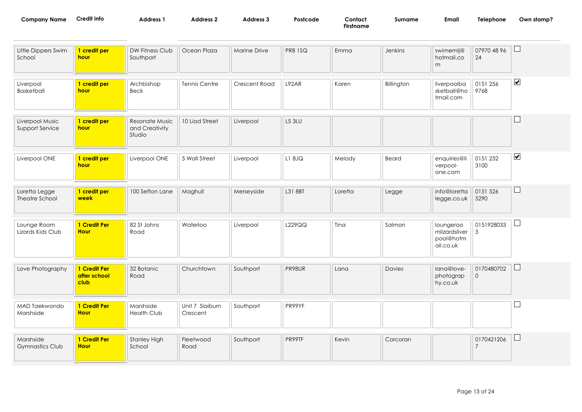| Company Name | .<br>Credit into | <b>Address</b> | Address 2 | Address 3 | Postcode | Contact   | Surname | Email | Telephone<br>and the contract of the contract of the contract of the contract of the contract of the contract of the contract of the contract of the contract of the contract of the contract of the contract of the contract of the contra | Own<br>∍stamp':<br>and the contract of the contract of the contract of the contract of the contract of the contract of the contract of the contract of the contract of the contract of the contract of the contract of the contract of the contra |
|--------------|------------------|----------------|-----------|-----------|----------|-----------|---------|-------|---------------------------------------------------------------------------------------------------------------------------------------------------------------------------------------------------------------------------------------------|---------------------------------------------------------------------------------------------------------------------------------------------------------------------------------------------------------------------------------------------------|
|              |                  |                |           |           |          | Firstname |         |       |                                                                                                                                                                                                                                             |                                                                                                                                                                                                                                                   |

| Little Dippers Swim<br>School       | 1 credit per<br>hour                 | DW Fitness Club<br>Southport               | Ocean Plaza                 | Marine Drive  | <b>PR8 1SQ</b> | Emma    | Jenkins    | swimemlj@<br>hotmail.co<br>m                         | 07970 48 96<br>24                 | $\boxed{\phantom{1}}$ |
|-------------------------------------|--------------------------------------|--------------------------------------------|-----------------------------|---------------|----------------|---------|------------|------------------------------------------------------|-----------------------------------|-----------------------|
| Liverpool<br>Basketball             | 1 credit per<br>hour                 | Archbishop<br>Beck                         | Tennis Centre               | Crescent Road | L92AR          | Karen   | Billington | liverpoolba<br>sketball@ho<br>tmail.com              | 0151 256<br>9768                  | $\blacktriangledown$  |
| Liverpool Music<br>Support Service  | 1 credit per<br>hour                 | Resonate Music<br>and Creativity<br>Studio | 10 Liad Street              | Liverpool     | <b>L5 3LU</b>  |         |            |                                                      |                                   | $\Box$                |
| Liverpool ONE                       | 1 credit per<br>hour                 | Liverpool ONE                              | 5 Wall Street               | Liverpool     | L1 8JQ         | Melody  | Beard      | enquiries@li<br>verpool-<br>one.com                  | 0151 232<br>3100                  | $\blacktriangledown$  |
| Loretta Legge<br>Theatre School     | 1 credit per<br>week                 | 100 Sefton Lane                            | Maghull                     | Merseyside    | L31 8BT        | Loretta | Legge      | info@loretta<br>legge.co.uk                          | 0151 526<br>5290                  | $\Box$                |
| Lounge Room<br>Lizards Kids Club    | 1 Credit Per<br><b>Hour</b>          | 82 St Johns<br>Road                        | Waterloo                    | Liverpool     | L229QQ         | Tina    | Salmon     | loungeroo<br>mlizardsliver<br>pool@hotm<br>ail.co.uk | 0151928033<br>$\mathbf{3}$        | $\Box$                |
| Love Photography                    | 1 Credit Per<br>after school<br>club | 32 Botanic<br>Road                         | Churchtown                  | Southport     | PR98UR         | Lana    | Davies     | lana@love-<br>photograp<br>hy.co.uk                  | 0170480702<br>$\mathsf{O}\xspace$ | $\Box$                |
| MAD Taekwondo<br>Marshside          | 1 Credit Per<br><b>Hour</b>          | Marshside<br><b>Health Club</b>            | Unit 7 Slaiburn<br>Crescent | Southport     | PR99YF         |         |            |                                                      |                                   | $\Box$                |
| Marshside<br><b>Gymnastics Club</b> | 1 Credit Per<br><b>Hour</b>          | <b>Stanley High</b><br>School              | Fleetwood<br>Road           | Southport     | PR99TF         | Kevin   | Corcoran   |                                                      | 0170421206<br>$\overline{7}$      | $\Box$                |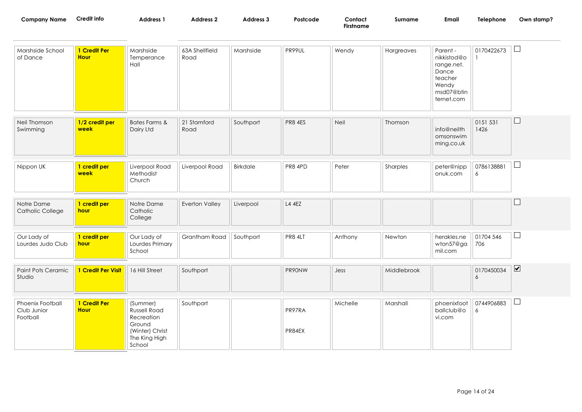| <b>Company Name</b>                         | <b>Credit info</b>          | Address 1                                                                                      | <b>Address 2</b>       | Address 3       | Postcode         | Contact<br><b>Firstname</b> | Surname     | Email                                                                                          | Telephone        | Own stamp?                   |
|---------------------------------------------|-----------------------------|------------------------------------------------------------------------------------------------|------------------------|-----------------|------------------|-----------------------------|-------------|------------------------------------------------------------------------------------------------|------------------|------------------------------|
| Marshside School<br>of Dance                | 1 Credit Per<br><b>Hour</b> | Marshside<br>Temperance<br>Hall                                                                | 63A Shellfield<br>Road | Marshside       | PR99UL           | Wendy                       | Hargreaves  | Parent -<br>nikkistod@o<br>range.net.<br>Dance<br>teacher<br>Wendy<br>msd07@btin<br>ternet.com | 0170422673       | $\Box$                       |
| Neil Thomson<br>Swimming                    | 1/2 credit per<br>week      | <b>Bates Farms &amp;</b><br>Dairy Ltd                                                          | 21 Stamford<br>Road    | Southport       | PR8 4ES          | Neil                        | Thomson     | info@neilth<br>omsonswim<br>ming.co.uk                                                         | 0151 531<br>1426 | $\sqcup$                     |
| Nippon UK                                   | 1 credit per<br>week        | Liverpool Road<br>Methodist<br>Church                                                          | Liverpool Road         | <b>Birkdale</b> | PR8 4PD          | Peter                       | Sharples    | peter@nipp<br>onuk.com                                                                         | 0786138881<br>6  | $\sqcup$                     |
| Notre Dame<br>Catholic College              | 1 credit per<br>hour        | Notre Dame<br>Catholic<br>College                                                              | Everton Valley         | Liverpool       | L4 4EZ           |                             |             |                                                                                                |                  | $\mathbf{L}$                 |
| Our Lady of<br>Lourdes Judo Club            | 1 credit per<br>hour        | Our Lady of<br>Lourdes Primary<br>School                                                       | Grantham Road          | Southport       | <b>PR8 4LT</b>   | Anthony                     | Newton      | herakles.ne<br>wton57@ga<br>mil.com                                                            | 01704 546<br>706 | $\Box$                       |
| Paint Pots Ceramic<br>Studio                | 1 Credit Per Visit          | 16 Hill Street                                                                                 | Southport              |                 | PR90NW           | Jess                        | Middlebrook |                                                                                                | 0170450034<br>6  | $\boxed{\blacktriangledown}$ |
| Phoenix Football<br>Club Junior<br>Football | 1 Credit Per<br><b>Hour</b> | (Summer)<br>Russell Road<br>Recreation<br>Ground<br>(Winter) Christ<br>The King High<br>School | Southport              |                 | PR97RA<br>PR84EX | Michelle                    | Marshall    | phoenixfoot<br>ballclub@o<br>vi.com                                                            | 0744906883<br>6  | $\Box$                       |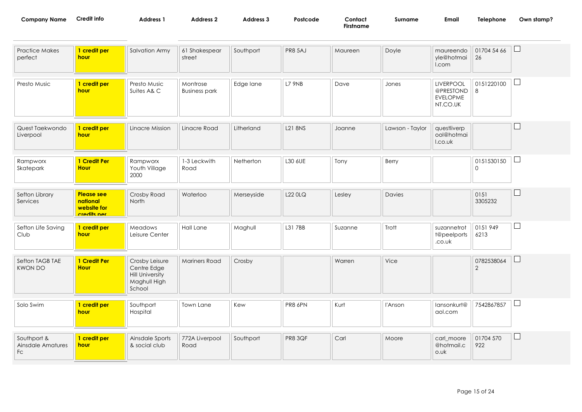| <b>Company Name</b> | redit infoـ | <b>Address</b> | Address : | Nddress J | Postcode | Contact:  | Surname | Email | elephone | Own stamp? |
|---------------------|-------------|----------------|-----------|-----------|----------|-----------|---------|-------|----------|------------|
|                     |             |                |           |           |          | Firstname |         |       |          |            |

| <b>Practice Makes</b><br>perfect       | 1 credit per<br>hour                                        | Salvation Army                                                                    | 61 Shakespear<br>street          | Southport  | <b>PR8 5AJ</b> | Maureen | Doyle           | maureendo<br>yle@hotmai<br>I.com                             | 01704 54 66<br>26 | L        |
|----------------------------------------|-------------------------------------------------------------|-----------------------------------------------------------------------------------|----------------------------------|------------|----------------|---------|-----------------|--------------------------------------------------------------|-------------------|----------|
| Presto Music                           | 1 credit per<br>hour                                        | Presto Music<br>Suites A& C                                                       | Montrose<br><b>Business park</b> | Edge lane  | <b>L7 9NB</b>  | Dave    | Jones           | <b>LIVERPOOL</b><br>@PRESTOND<br><b>EVELOPME</b><br>NT.CO.UK | 0151220100<br>8   | $\Box$   |
| Quest Taekwondo<br>Liverpool           | 1 credit per<br>hour                                        | Linacre Mission                                                                   | Linacre Road                     | Litherland | <b>L21 8NS</b> | Joanne  | Lawson - Taylor | questliverp<br>ool@hotmai<br>I.co.uk                         |                   | $\Box$   |
| Rampworx<br>Skatepark                  | 1 Credit Per<br><b>Hour</b>                                 | Rampworx<br>Youth Village<br>2000                                                 | 1-3 Leckwith<br>Road             | Netherton  | L30 6UE        | Tony    | Berry           |                                                              | 0151530150<br>0   | ⊔        |
| Sefton Library<br>Services             | <b>Please see</b><br>national<br>website for<br>cradite nar | Crosby Road<br>North                                                              | Waterloo                         | Merseyside | L22 0LQ        | Lesley  | Davies          |                                                              | 0151<br>3305232   | $\Box$   |
| Sefton Life Saving<br>Club             | 1 credit per<br>hour                                        | Meadows<br>Leisure Center                                                         | Hall Lane                        | Maghull    | L31 7BB        | Suzanne | Trott           | suzannetrot<br>t@peelports<br>.co.uk                         | 0151949<br>6213   | $\sqcup$ |
| Sefton TAGB TAE<br><b>KWON DO</b>      | 1 Credit Per<br><b>Hour</b>                                 | Crosby Leisure<br>Centre Edge<br><b>Hill University</b><br>Maghull High<br>School | <b>Mariners Road</b>             | Crosby     |                | Warren  | Vice            |                                                              | 0782538064<br>2   | ⊔        |
| Solo Swim                              | 1 credit per<br>hour                                        | Southport<br>Hospital                                                             | Town Lane                        | Kew        | PR8 6PN        | Kurt    | l'Anson         | lansonkurt@<br>aol.com                                       | 7542867857        | $\sqcup$ |
| Southport &<br>Ainsdale Amatures<br>Fc | 1 credit per<br>hour                                        | Ainsdale Sports<br>& social club                                                  | 772A Liverpool<br>Road           | Southport  | PR8 3QF        | Carl    | Moore           | carl moore<br>@hotmail.c<br>o.uk                             | 01704 570<br>922  | $\Box$   |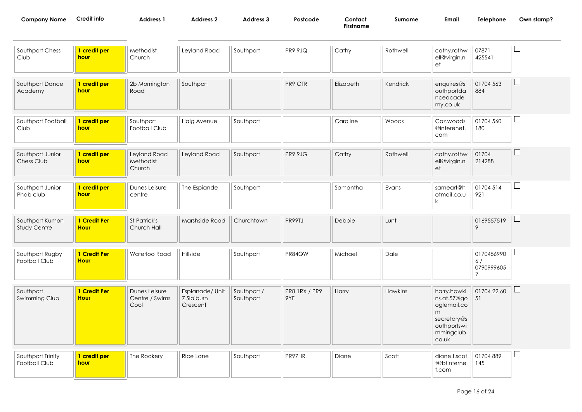| Company Name | 't into<br>ᆡᄃ | Address | Address | ۔ Address | Postcode | Contac'   | umame | Email | <b>felephone</b><br>the contract of the contract of the contract of | Own stamp? |
|--------------|---------------|---------|---------|-----------|----------|-----------|-------|-------|---------------------------------------------------------------------|------------|
|              |               |         |         |           |          | Firstname |       |       |                                                                     |            |

| Southport Chess<br>Club            | 1 credit per<br>hour        | Methodist<br>Church                     | Leyland Road                              | Southport                | <b>PR9 9JQ</b>              | Cathy     | Rothwell | cathy.rothw<br>ell@virgin.n<br>et                                                                      | 07871<br>425541                                  |        |
|------------------------------------|-----------------------------|-----------------------------------------|-------------------------------------------|--------------------------|-----------------------------|-----------|----------|--------------------------------------------------------------------------------------------------------|--------------------------------------------------|--------|
| Southport Dance<br>Academy         | 1 credit per<br>hour        | 2b Mornington<br>Road                   | Southport                                 |                          | PR9 OTR                     | Elizabeth | Kendrick | enquires@s<br>outhportda<br>nceacade<br>my.co.uk                                                       | 01704 563<br>884                                 | $\Box$ |
| Southport Football<br>Club         | 1 credit per<br>hour        | Southport<br>Football Club              | Haig Avenue                               | Southport                |                             | Caroline  | Woods    | Caz.woods<br>@interenet.<br>com                                                                        | 01704 560<br>180                                 | $\Box$ |
| Southport Junior<br>Chess Club     | 1 credit per<br>hour        | Leyland Road<br>Methodist<br>Church     | Leyland Road                              | Southport                | PR9 9JG                     | Cathy     | Rothwell | cathy.rothw<br>ell@virgin.n<br>et                                                                      | 01704<br>214288                                  | ⊔      |
| Southport Junior<br>Phab club      | 1 credit per<br>hour        | Dunes Leisure<br>centre                 | The Espiande                              | Southport                |                             | Samantha  | Evans    | sameart@h<br>otmail.co.u<br>k                                                                          | 01704 514<br>921                                 | $\Box$ |
| Southport Kumon<br>Study Centre    | 1 Credit Per<br><b>Hour</b> | St Patrick's<br>Church Hall             | Marshside Road                            | Churchtown               | PR99TJ                      | Debbie    | Lunt     |                                                                                                        | 0169557519<br>9                                  | $\Box$ |
| Southport Rugby<br>Football Club   | 1 Credit Per<br><b>Hour</b> | Waterloo Road                           | Hillside                                  | Southport                | PR84QW                      | Michael   | Dale     |                                                                                                        | 0170456990<br>6/<br>0790999605<br>$\overline{7}$ | ⊔      |
| Southport<br>Swimming Club         | 1 Credit Per<br><b>Hour</b> | Dunes Leisure<br>Centre / Swims<br>Cool | Esplanade/ Unit<br>7 Slaiburn<br>Crescent | Southport /<br>Southport | <b>PR8 1RX / PR9</b><br>9YF | Harry     | Hawkins  | harry.hawki<br>ns.at.57@go<br>oglemail.co<br>m<br>secretary@s<br>outhportswi<br>mmingclub.<br>$co.$ uk | 01704 22 60<br>51                                | ⊔      |
| Southport Trinity<br>Football Club | 1 credit per<br>hour        | The Rookery                             | Rice Lane                                 | Southport                | PR97HR                      | Diane     | Scott    | diane.f.scot<br>t@btinterne<br>t.com                                                                   | 01704 889<br>145                                 | ⊔      |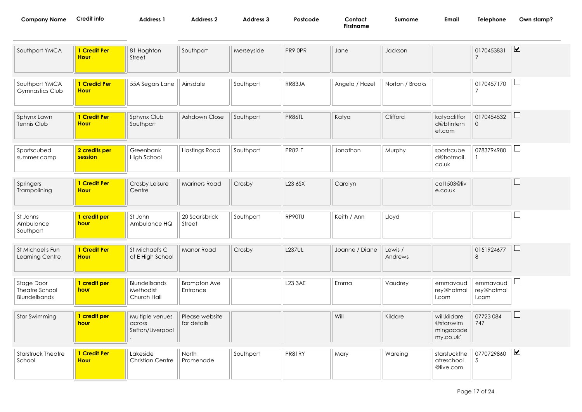| Company Name | Credit info | Address | <b>Address</b> | Address : | Postcode | Contact                | `urname | Ema | <b>hone</b><br>نمامآ | Own stamp? |
|--------------|-------------|---------|----------------|-----------|----------|------------------------|---------|-----|----------------------|------------|
|              |             |         |                |           |          | $- \cdot$<br>Firstname |         |     |                      |            |

| Southport YMCA                                       | 1 Credit Per<br><b>Hour</b> | 81 Hoghton<br>Street                          | Southport                       | Merseyside | PR9 OPR       | Jane           | Jackson            |                                                     | 0170453831<br>$\overline{7}$    | $\blacktriangledown$ |
|------------------------------------------------------|-----------------------------|-----------------------------------------------|---------------------------------|------------|---------------|----------------|--------------------|-----------------------------------------------------|---------------------------------|----------------------|
| Southport YMCA<br><b>Gymnastics Club</b>             | 1 Credid Per<br><b>Hour</b> | 55A Segars Lane                               | Ainsdale                        | Southport  | RR83JA        | Angela / Hazel | Norton / Brooks    |                                                     | 0170457170<br>7                 | $\Box$               |
| Sphynx Lawn<br>Tennis Club                           | 1 Credit Per<br><b>Hour</b> | Sphynx Club<br>Southport                      | Ashdown Close                   | Southport  | PR86TL        | Katya          | Clifford           | katyacliffor<br>d@btintern<br>et.com                | 0170454532<br>$\overline{0}$    | ⊔                    |
| Sportscubed<br>summer camp                           | 2 credits per<br>session    | Greenbank<br><b>High School</b>               | <b>Hastings Road</b>            | Southport  | PR82LT        | Jonathon       | Murphy             | sportscube<br>d@hotmail.<br>co.uk                   | 0783794980<br>1                 | $\Box$               |
| Springers<br>Trampolining                            | 1 Credit Per<br><b>Hour</b> | Crosby Leisure<br>Centre                      | <b>Mariners Road</b>            | Crosby     | L23 6SX       | Carolyn        |                    | cal1503@liv<br>e.co.uk                              |                                 |                      |
| St Johns<br>Ambulance<br>Southport                   | 1 credit per<br>hour        | St John<br>Ambulance HQ                       | 20 Scarisbrick<br>Street        | Southport  | RP90TU        | Keith / Ann    | Lloyd              |                                                     |                                 | $\Box$               |
| St Michael's Fun<br>Learning Centre                  | 1 Credit Per<br><b>Hour</b> | St Michael's C<br>of E High School            | Manor Road                      | Crosby     | <b>L237UL</b> | Joanne / Diane | Lewis /<br>Andrews |                                                     | 0151924677<br>8                 | H                    |
| Stage Door<br>Theatre School<br><b>Blundellsands</b> | 1 credit per<br>hour        | Blundellsands<br>Methodist<br>Church Hall     | <b>Brompton Ave</b><br>Entrance |            | L23 3AE       | Emma           | Vaudrey            | emmavaud<br>rey@hotmai<br>I.com                     | emmavaud<br>rey@hotmai<br>I.com | □                    |
| Star Swimming                                        | 1 credit per<br>hour        | Multiple venues<br>across<br>Sefton/Liverpool | Please website<br>for details   |            |               | Will           | Kildare            | will.kildare<br>@starswim<br>mingacade<br>my.co.uk' | 07723 084<br>747                | ப                    |
| Starstruck Theatre<br>School                         | 1 Credit Per<br><b>Hour</b> | Lakeside<br><b>Christian Centre</b>           | North<br>Promenade              | Southport  | PR81RY        | Mary           | Wareing            | starstuckthe<br>atreschool<br>@live.com             | 0770729860<br>5                 | $\blacktriangledown$ |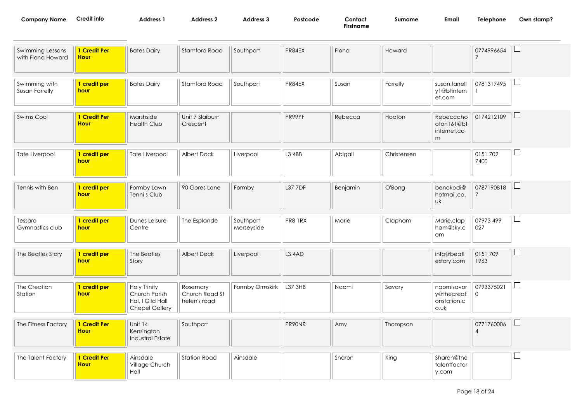| Company Name | Credit info | <b>Address</b> | Address 2 | <b>Address</b> 5 | Postcode | Contact          | Surnam | Email | Telephone | Own stamp? |
|--------------|-------------|----------------|-----------|------------------|----------|------------------|--------|-------|-----------|------------|
|              |             |                |           |                  |          | $-$<br>Firstname |        |       |           |            |

| Swimming Lessons<br>with Fiona Howard | 1 Credit Per<br><b>Hour</b> | <b>Bates Dairy</b>                                                                | Stamford Road                              | Southport               | PR84EX     | Fiona    | Howard      |                                                  | 0774996654                   | $\Box$   |
|---------------------------------------|-----------------------------|-----------------------------------------------------------------------------------|--------------------------------------------|-------------------------|------------|----------|-------------|--------------------------------------------------|------------------------------|----------|
| Swimming with<br>Susan Farrelly       | 1 credit per<br>hour        | <b>Bates Dairy</b>                                                                | Stamford Road                              | Southport               | PR84EX     | Susan    | Farrelly    | susan.farrell<br>y1@btintern<br>et.com           | 0781317495                   | $\Box$   |
| Swims Cool                            | 1 Credit Per<br><b>Hour</b> | Marshside<br><b>Health Club</b>                                                   | Unit 7 Slaiburn<br>Crescent                |                         | PR99YF     | Rebecca  | Hooton      | Rebeccaho<br>oton161@bt<br>internet.co<br>m      | 0174212109                   | $\Box$   |
| Tate Liverpool                        | 1 credit per<br>hour        | Tate Liverpool                                                                    | Albert Dock                                | Liverpool               | L3 4BB     | Abigail  | Christensen |                                                  | 0151702<br>7400              | ⊔        |
| Tennis with Ben                       | 1 credit per<br>hour        | Formby Lawn<br>Tenni s Club                                                       | 90 Gores Lane                              | Formby                  | L37 7DF    | Benjamin | O'Bong      | benokodi@<br>hotmail.co.<br><b>uk</b>            | 0787190818<br>7              | $\Box$   |
| Tessaro<br>Gymnastics club            | 1 credit per<br>hour        | Dunes Leisure<br>Centre                                                           | The Esplande                               | Southport<br>Merseyside | PR8 1RX    | Marie    | Clapham     | Marie.clap<br>ham@sky.c<br>om                    | 07973 499<br>027             | $\Box$   |
| The Beatles Story                     | 1 credit per<br>hour        | The Beatles<br>Story                                                              | Albert Dock                                | Liverpool               | $L3$ $4AD$ |          |             | info@beatl<br>estory.com                         | 0151709<br>1963              | $\Box$   |
| The Creation<br>Station               | 1 credit per<br>hour        | <b>Holy Trinity</b><br>Church Parish<br>Hal, I Gild Hall<br><b>Chapel Gallery</b> | Rosemary<br>Church Road St<br>helen's road | Formby Ormskirk         | L37 3HB    | Naomi    | Savary      | naomisavor<br>y@thecreati<br>onstation.c<br>o.wk | 0793375021<br>$\mathbf 0$    | $\Box$   |
| The Fitness Factory                   | 1 Credit Per<br><b>Hour</b> | Unit 14<br>Kensington<br><b>Industral Estate</b>                                  | Southport                                  |                         | PR90NR     | Amy      | Thompson    |                                                  | 0771760006<br>$\overline{4}$ | $\Box$   |
| The Talent Factory                    | 1 Credit Per<br><b>Hour</b> | Ainsdale<br>Village Church<br>Hall                                                | <b>Station Road</b>                        | Ainsdale                |            | Sharon   | King        | Sharon@the<br>talentfactor<br>y.com              |                              | $\sqcup$ |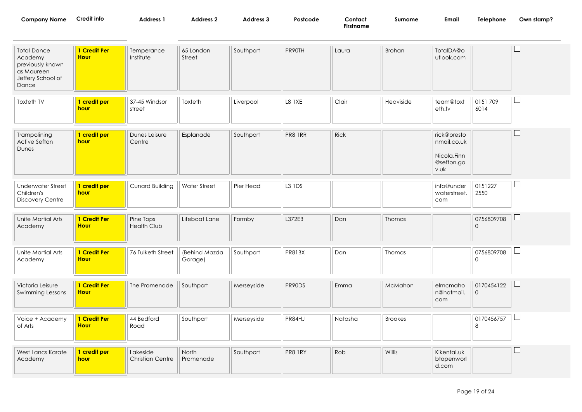| <b>Company Name</b> | Credit info | Address <sup>7</sup> | Address 2 | <b>Address 3</b> | Postcode | Contact   | Surname | Email | Telephone | Own stamp? |
|---------------------|-------------|----------------------|-----------|------------------|----------|-----------|---------|-------|-----------|------------|
|                     |             |                      |           |                  |          | Firstname |         |       |           |            |

| <b>Total Dance</b><br>Academy<br>previously known<br>as Maureen<br>Jeffery School of<br>Dance | 1 Credit Per<br><b>Hour</b> | Temperance<br>Institute             | 65 London<br>Street      | Southport  | PR90TH        | Laura       | <b>Brohan</b>  | TotalDA@o<br>utlook.com                                         |                            |   |
|-----------------------------------------------------------------------------------------------|-----------------------------|-------------------------------------|--------------------------|------------|---------------|-------------|----------------|-----------------------------------------------------------------|----------------------------|---|
| Toxteth TV                                                                                    | 1 credit per<br>hour        | 37-45 Windsor<br>street             | Toxteth                  | Liverpool  | <b>L8 1XE</b> | Clair       | Heaviside      | team@toxt<br>eth.tv                                             | 0151709<br>6014            |   |
| Trampolining<br>Active Sefton<br>Dunes                                                        | 1 credit per<br>hour        | Dunes Leisure<br>Centre             | Esplanade                | Southport  | PR8 1RR       | <b>Rick</b> |                | rick@presto<br>nmail.co.uk<br>Nicola.Finn<br>@sefton.go<br>v.uk |                            |   |
| <b>Underwater Street</b><br>Children's<br><b>Discovery Centre</b>                             | 1 credit per<br>hour        | Cunard Building                     | <b>Water Street</b>      | Pier Head  | L3 1DS        |             |                | info@under<br>waterstreet.<br>com                               | 0151227<br>2550            | ⊔ |
| Unite Martial Arts<br>Academy                                                                 | 1 Credit Per<br><b>Hour</b> | Pine Tops<br><b>Health Club</b>     | Lifeboat Lane            | Formby     | L372EB        | Dan         | Thomas         |                                                                 | 0756809708<br>$\mathbf{0}$ |   |
| Unite Martial Arts<br>Academy                                                                 | 1 Credit Per<br><b>Hour</b> | 76 Tulketh Street                   | (Behind Mazda<br>Garage) | Southport  | PR81BX        | Dan         | <b>Thomas</b>  |                                                                 | 0756809708<br>$\mathsf{O}$ |   |
| Victoria Leisure<br>Swimming Lessons                                                          | 1 Credit Per<br><b>Hour</b> | The Promenade                       | Southport                | Merseyside | PR90DS        | Emma        | McMahon        | elmcmaho<br>n@hotmail.<br>com                                   | 0170454122<br>$\mathsf{O}$ |   |
| Voice + Academy<br>of Arts                                                                    | 1 Credit Per<br><b>Hour</b> | 44 Bedford<br>Road                  | Southport                | Merseyside | PR84HJ        | Natasha     | <b>Brookes</b> |                                                                 | 0170456757<br>8            |   |
| West Lancs Karate<br>Academy                                                                  | 1 credit per<br>hour        | Lakeside<br><b>Christian Centre</b> | North<br>Promenade       | Southport  | PR8 1RY       | Rob         | Willis         | Kikentai.uk<br>btopenworl<br>d.com                              |                            |   |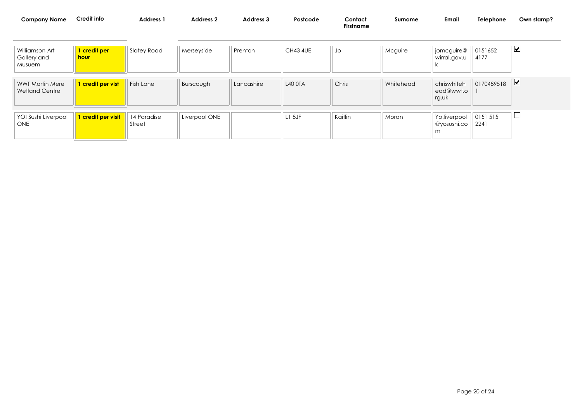| <b>Company Name</b>           | Credit info                        | <b>Address 1</b> | <b>Address 2</b> | <b>Address 3</b> | Postcode        | Contact<br><b>Firstname</b> | Surname | Emai                       | Telephone       | Own stamp? |
|-------------------------------|------------------------------------|------------------|------------------|------------------|-----------------|-----------------------------|---------|----------------------------|-----------------|------------|
| Williamson Art<br>Gallery and | <mark>l credit per </mark><br>hour | Slatey Road      | Merseyside       | Prenton          | <b>CH43 4UE</b> | JO                          | Mcguire | jomcguire@<br>wirral.gov.u | 0151652<br>4177 | ⊻          |

| <b>WWT Martin Mere</b><br><b>Wetland Centre</b> | 1 credit per vist  | Fish Lane             | Burscough     | Lancashire | <b>L40 OTA</b> | Chris   | Whitehead | chriswhiteh<br>ead@wwt.o<br>rg.uk | 0170489518      | ⊻ |
|-------------------------------------------------|--------------------|-----------------------|---------------|------------|----------------|---------|-----------|-----------------------------------|-----------------|---|
| YO! Sushi Liverpool<br><b>ONE</b>               | 1 credit per visit | 14 Paradise<br>Street | Liverpool ONE |            | L18JF          | Kaitlin | Moran     | Yo.liverpool<br>@yosushi.co<br>m  | 0151515<br>2241 |   |

Musuem

k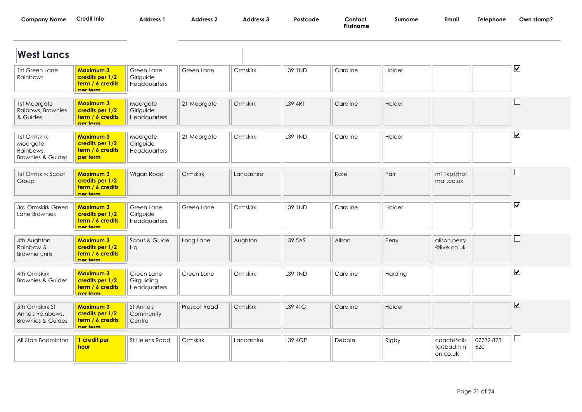| Company<br>Name : | ' into<br>∟rec | <b>Address</b> | <b>Address</b> | Address 1 | Postcode | Contac   | Surname | Emai | Telephonc | 'ywn stamp |
|-------------------|----------------|----------------|----------------|-----------|----------|----------|---------|------|-----------|------------|
|                   |                |                |                |           |          | irstnama |         |      |           |            |

| <b>West Lancs</b>                                                     |                                                                     |                                          |              |            |                |          |         |                                       |                 |                              |
|-----------------------------------------------------------------------|---------------------------------------------------------------------|------------------------------------------|--------------|------------|----------------|----------|---------|---------------------------------------|-----------------|------------------------------|
| 1st Green Lane<br>Rainbows                                            | <b>Maximum 3</b><br>credits per 1/2<br>term / 6 credits<br>nor torm | Green Lane<br>Girlguide<br>Headquarters  | Green Lane   | Ormskirk   | <b>L39 IND</b> | Caroline | Holder  |                                       |                 | $\overline{\mathbf{v}}$      |
| 1st Moorgate<br>Raibows, Brownies<br>& Guides                         | <b>Maximum 3</b><br>credits per 1/2<br>term / 6 credits<br>nor torm | Moorgate<br>Girlguide<br>Headquarters    | 21 Moorgate  | Ormskirk   | <b>L39 4RT</b> | Caroline | Holder  |                                       |                 |                              |
| 1st Ormskirk<br>Moorgate<br>Rainbows,<br><b>Brownies &amp; Guides</b> | <b>Maximum 3</b><br>credits per 1/2<br>term / 6 credits<br>per term | Moorgate<br>Girlguide<br>Headquarters    | 21 Moorgate  | Ormskirk   | <b>L39 IND</b> | Caroline | Holder  |                                       |                 | $\boxed{\blacktriangledown}$ |
| 1st Ormskirk Scout<br>Group                                           | <b>Maximum 3</b><br>credits per 1/2<br>term / 6 credits<br>nor torm | Wigan Road                               | Ormskirk     | Lancashire |                | Kate     | Parr    | m11kp@hot<br>mail.co.uk               |                 |                              |
| 3rd Ormskirk Green<br>Lane Brownies                                   | <b>Maximum 3</b><br>credits per 1/2<br>term / 6 credits<br>nor torm | Green Lane<br>Girlguide<br>Headquarters  | Green Lane   | Ormskirk   | <b>L39 IND</b> | Caroline | Holder  |                                       |                 | $\overline{\mathbf{v}}$      |
| 4th Aughton<br>Rainbow &<br>Brownie units                             | <b>Maximum 3</b><br>credits per 1/2<br>term / 6 credits<br>nor torm | Scout & Guide<br>Hq                      | Long Lane    | Aughton    | L39 5AS        | Alison   | Perry   | alison.perry<br>@live.co.uk           |                 |                              |
| 4th Ormskirk<br><b>Brownies &amp; Guides</b>                          | <b>Maximum 3</b><br>credits per 1/2<br>term / 6 credits<br>nor torm | Green Lane<br>Girguiding<br>Headquarters | Green Lane   | Ormskirk   | <b>L39 IND</b> | Caroline | Harding |                                       |                 | $\overline{\mathbf{v}}$      |
| 5th Ormskirk St<br>Anne's Rainbows,<br><b>Brownies &amp; Guides</b>   | <b>Maximum 3</b><br>credits per 1/2<br>term / 6 credits<br>nor torm | St Anne's<br>Community<br>Centre         | Prescot Road | Ormskirk   | L39 4TG        | Caroline | Holder  |                                       |                 | $\overline{\mathbf{v}}$      |
| All Stars Badminton                                                   | 1 credit per<br>hour                                                | St Helens Road                           | Ormskirk     | Lancashire | L39 4QP        | Debbie   | Rigby   | coach@alls<br>tarsbadmint<br>on.co.uk | 07732823<br>620 | □                            |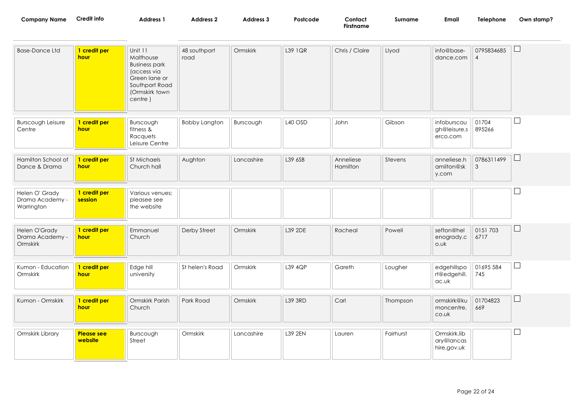| <b>Company Name</b>                             | <b>Credit info</b>           | <b>Address 1</b>                                                                                                            | <b>Address 2</b>     | Address 3  | Postcode | Contact<br><b>Firstname</b> | Surname   | <b>Email</b>                              | Telephone                    | Own stamp?               |
|-------------------------------------------------|------------------------------|-----------------------------------------------------------------------------------------------------------------------------|----------------------|------------|----------|-----------------------------|-----------|-------------------------------------------|------------------------------|--------------------------|
| <b>Base-Dance Ltd</b>                           | 1 credit per<br>hour         | Unit 11<br>Malthouse<br><b>Business park</b><br>(access via<br>Green lane or<br>Southport Road<br>(Ormskirk town<br>centre) | 48 southport<br>road | Ormskirk   | L39 1QR  | Chris / Claire              | Llyod     | info@base-<br>dance.com                   | 0795834685<br>$\overline{4}$ | $\sqcup$                 |
| <b>Burscough Leisure</b><br>Centre              | 1 credit per<br>hour         | Burscough<br>fitness &<br>Racquets<br>Leisure Centre                                                                        | <b>Bobby Langton</b> | Burscough  | L40 OSD  | John                        | Gibson    | infoburscou<br>gh@leisure.s<br>erco.com   | 01704<br>895266              | $\Box$                   |
| Hamilton School of<br>Dance & Drama             | 1 credit per<br>hour         | St Michaels<br>Church hall                                                                                                  | Aughton              | Lancashire | L39 6SB  | Anneliese<br>Hamilton       | Stevens   | anneliese.h<br>amilton@sk<br>y.com        | 0786311499<br>3              | $\Box$                   |
| Helen O' Grady<br>Drama Academy -<br>Warrington | 1 credit per<br>session      | Various venues;<br>pleasee see<br>the website                                                                               |                      |            |          |                             |           |                                           |                              |                          |
| Helen O'Grady<br>Drama Academy -<br>Ormskirk    | 1 credit per<br>hour         | Emmanuel<br>Church                                                                                                          | Derby Street         | Ormskirk   | L39 2DE  | Racheal                     | Powell    | sefton@hel<br>enogrady.c<br>o.uk          | 0151 703<br>6717             | ⊔                        |
| Kumon - Education<br>Ormskirk                   | 1 credit per<br>hour         | Edge hill<br>university                                                                                                     | St helen's Road      | Ormskirk   | L39 4QP  | Gareth                      | Lougher   | edgehillspo<br>rt@edgehill.<br>ac.uk      | 01695 584<br>745             | $\overline{\phantom{a}}$ |
| Kumon - Ormskirk                                | 1 credit per<br>hour         | Ormskirk Parish<br>Church                                                                                                   | Park Road            | Ormskirk   | L39 3RD  | Carl                        | Thompson  | ormskirk@ku<br>moncentre.<br>co.uk        | 01704823<br>669              | $\Box$                   |
| Ormskirk Library                                | <b>Please see</b><br>website | Burscough<br>Street                                                                                                         | Ormskirk             | Lancashire | L39 2EN  | Lauren                      | Fairhurst | Ormskirk.lib<br>ary@lancas<br>hire.gov.uk |                              |                          |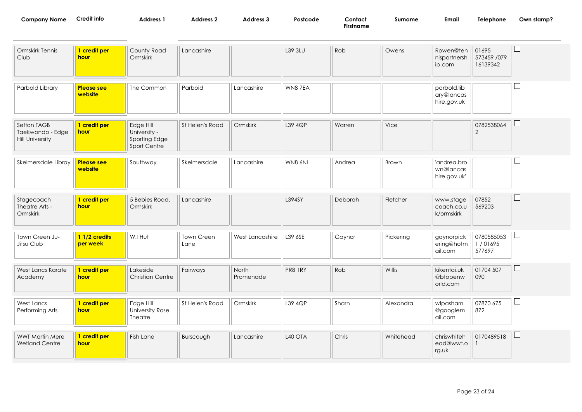| <b>Company Name</b> | redit infoـ | <b>Address</b> | Address | ت Address | Postcode | Contact          | Surname | Emai | Telephone<br>the contract of the contract of the contract of | Own stamp? |
|---------------------|-------------|----------------|---------|-----------|----------|------------------|---------|------|--------------------------------------------------------------|------------|
|                     |             |                |         |           |          | <b>Firstname</b> |         |      |                                                              |            |

| Ormskirk Tennis<br>Club                                   | 1 credit per<br>hour         | County Road<br>Ormskirk                                    | Lancashire         |                    | L39 3LU | Rob     | Owens     | Rowen@ten<br>nispartnersh<br>ip.com      | 01695<br>573459 /079<br>16139342 |              |
|-----------------------------------------------------------|------------------------------|------------------------------------------------------------|--------------------|--------------------|---------|---------|-----------|------------------------------------------|----------------------------------|--------------|
| Parbold Library                                           | <b>Please see</b><br>website | The Common                                                 | Parboid            | Lancashire         | WN87EA  |         |           | parbold.lib<br>ary@lancas<br>hire.gov.uk |                                  |              |
| Sefton TAGB<br>Taekwondo - Edge<br><b>Hill University</b> | 1 credit per<br><b>hour</b>  | Edge Hill<br>University -<br>Sporting Edge<br>Sport Centre | St Helen's Road    | Ormskirk           | L39 4QP | Warren  | Vice      |                                          | 0782538064<br>2                  |              |
| Skelmersdale Libray                                       | <b>Please see</b><br>website | Southway                                                   | Skelmersdale       | Lancashire         | WN8 6NL | Andrea  | Brown     | 'andrea.bro<br>wn@lancas<br>hire.gov.uk' |                                  |              |
| Stagecoach<br>Theatre Arts -<br>Ormskirk                  | 1 credit per<br>hour         | 5 Bebies Road,<br>Ormskirk                                 | Lancashire         |                    | L394SY  | Deborah | Fletcher  | www.stage<br>coach.co.u<br>k/ormskirk    | 07852<br>569203                  | $\mathsf{L}$ |
| Town Green Ju-<br>Jitsu Club                              | 1 1/2 credits<br>per week    | W.I Hut                                                    | Town Green<br>Lane | West Lancashire    | L39 6SE | Gaynor  | Pickering | gaynorpick<br>ering@hotm<br>ail.com      | 0780585053<br>1/01695<br>577697  |              |
| West Lancs Karate<br>Academy                              | 1 credit per<br>hour         | Lakeside<br><b>Christian Centre</b>                        | Fairways           | North<br>Promenade | PR8 1RY | Rob     | Willis    | kikentai.uk<br>@btopenw<br>orld.com      | 01704 507<br>090                 | $\Box$       |
| West Lancs<br>Performing Arts                             | 1 credit per<br><b>hour</b>  | Edge Hill<br>University Rose<br><b>Theatre</b>             | St Helen's Road    | Ormskirk           | L39 4QP | Sharn   | Alexandra | wlpasharn<br>@googlem<br>ail.com         | 07870 675<br>872                 |              |
| <b>WWT Martin Mere</b><br><b>Wetland Centre</b>           | 1 credit per<br>hour         | Fish Lane                                                  | Burscough          | Lancashire         | L40 OTA | Chris   | Whitehead | chriswhiteh<br>ead@wwt.o<br>rg.uk        | 0170489518                       |              |